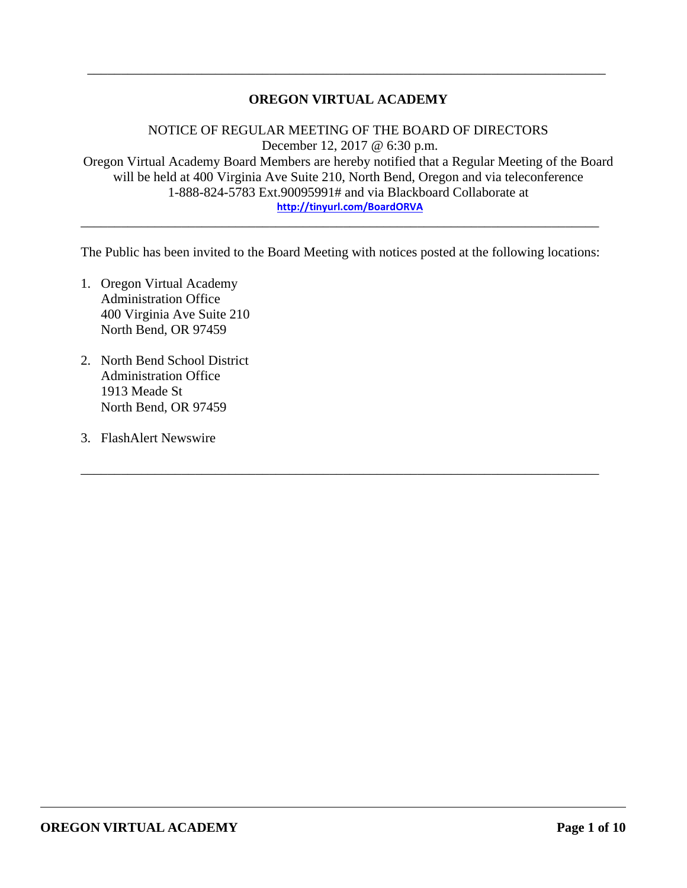## **OREGON VIRTUAL ACADEMY**

\_\_\_\_\_\_\_\_\_\_\_\_\_\_\_\_\_\_\_\_\_\_\_\_\_\_\_\_\_\_\_\_\_\_\_\_\_\_\_\_\_\_\_\_\_\_\_\_\_\_\_\_\_\_\_\_\_\_\_\_\_\_\_\_\_\_\_\_\_\_\_\_\_\_\_\_\_

NOTICE OF REGULAR MEETING OF THE BOARD OF DIRECTORS December 12, 2017 @ 6:30 p.m. Oregon Virtual Academy Board Members are hereby notified that a Regular Meeting of the Board will be held at 400 Virginia Ave Suite 210, North Bend, Oregon and via teleconference 1-888-824-5783 Ext.90095991# and via Blackboard Collaborate at **http://tinyurl.com/BoardORVA**

The Public has been invited to the Board Meeting with notices posted at the following locations:

\_\_\_\_\_\_\_\_\_\_\_\_\_\_\_\_\_\_\_\_\_\_\_\_\_\_\_\_\_\_\_\_\_\_\_\_\_\_\_\_\_\_\_\_\_\_\_\_\_\_\_\_\_\_\_\_\_\_\_\_\_\_\_\_\_\_\_\_\_\_\_\_\_\_\_\_\_

\_\_\_\_\_\_\_\_\_\_\_\_\_\_\_\_\_\_\_\_\_\_\_\_\_\_\_\_\_\_\_\_\_\_\_\_\_\_\_\_\_\_\_\_\_\_\_\_\_\_\_\_\_\_\_\_\_\_\_\_\_\_\_\_\_\_\_\_\_\_\_\_\_\_\_\_\_

- 1. Oregon Virtual Academy Administration Office 400 Virginia Ave Suite 210 North Bend, OR 97459
- 2. North Bend School District Administration Office 1913 Meade St North Bend, OR 97459
- 3. FlashAlert Newswire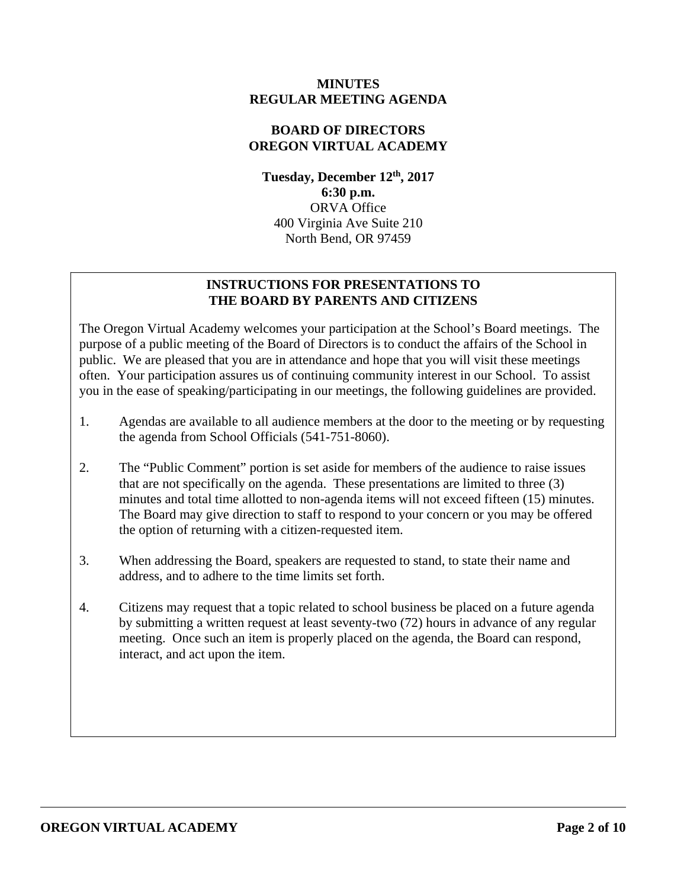### **MINUTES REGULAR MEETING AGENDA**

## **BOARD OF DIRECTORS OREGON VIRTUAL ACADEMY**

**Tuesday, December 12th, 2017 6:30 p.m.**  ORVA Office 400 Virginia Ave Suite 210 North Bend, OR 97459

## **INSTRUCTIONS FOR PRESENTATIONS TO THE BOARD BY PARENTS AND CITIZENS**

The Oregon Virtual Academy welcomes your participation at the School's Board meetings. The purpose of a public meeting of the Board of Directors is to conduct the affairs of the School in public. We are pleased that you are in attendance and hope that you will visit these meetings often. Your participation assures us of continuing community interest in our School. To assist you in the ease of speaking/participating in our meetings, the following guidelines are provided.

- 1. Agendas are available to all audience members at the door to the meeting or by requesting the agenda from School Officials (541-751-8060).
- 2. The "Public Comment" portion is set aside for members of the audience to raise issues that are not specifically on the agenda. These presentations are limited to three (3) minutes and total time allotted to non-agenda items will not exceed fifteen (15) minutes. The Board may give direction to staff to respond to your concern or you may be offered the option of returning with a citizen-requested item.
- 3. When addressing the Board, speakers are requested to stand, to state their name and address, and to adhere to the time limits set forth.
- 4. Citizens may request that a topic related to school business be placed on a future agenda by submitting a written request at least seventy-two (72) hours in advance of any regular meeting. Once such an item is properly placed on the agenda, the Board can respond, interact, and act upon the item.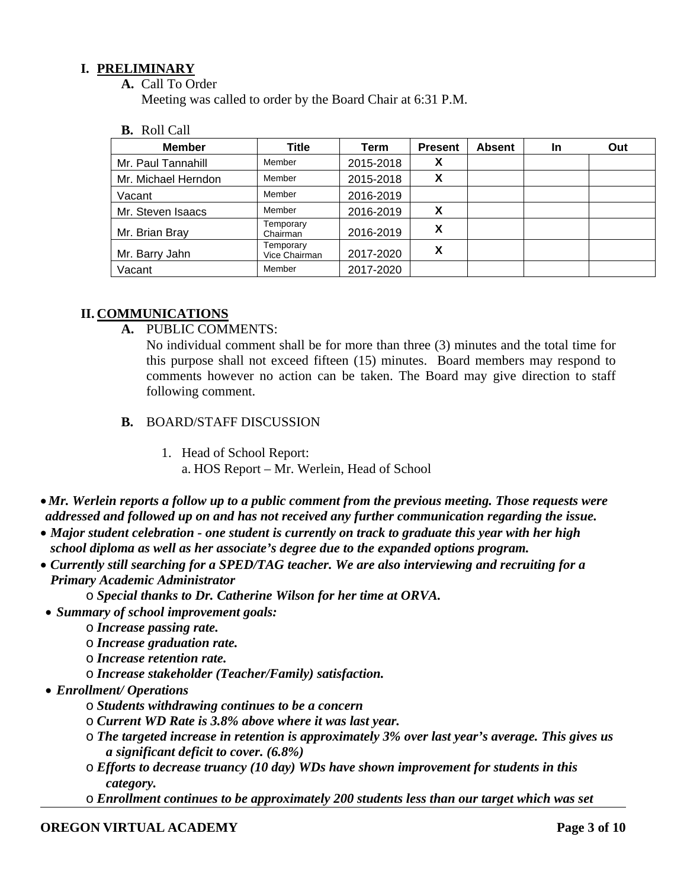## **I. PRELIMINARY**

**A.** Call To Order

Meeting was called to order by the Board Chair at 6:31 P.M.

**B.** Roll Call

| <b>Member</b>       | Title                      | <b>Term</b> | <b>Present</b> | <b>Absent</b> | <b>In</b> | Out |
|---------------------|----------------------------|-------------|----------------|---------------|-----------|-----|
| Mr. Paul Tannahill  | Member                     | 2015-2018   | Х              |               |           |     |
| Mr. Michael Herndon | Member                     | 2015-2018   | X              |               |           |     |
| Vacant              | Member                     | 2016-2019   |                |               |           |     |
| Mr. Steven Isaacs   | Member                     | 2016-2019   | X              |               |           |     |
| Mr. Brian Bray      | Temporary<br>Chairman      | 2016-2019   | Х              |               |           |     |
| Mr. Barry Jahn      | Temporary<br>Vice Chairman | 2017-2020   | X              |               |           |     |
| Vacant              | Member                     | 2017-2020   |                |               |           |     |

## **II. COMMUNICATIONS**

**A.** PUBLIC COMMENTS:

No individual comment shall be for more than three (3) minutes and the total time for this purpose shall not exceed fifteen (15) minutes. Board members may respond to comments however no action can be taken. The Board may give direction to staff following comment.

- **B.** BOARD/STAFF DISCUSSION
	- 1. Head of School Report: a. HOS Report – Mr. Werlein, Head of School
- *Mr. Werlein reports a follow up to a public comment from the previous meeting. Those requests were addressed and followed up on and has not received any further communication regarding the issue.*
- *Major student celebration one student is currently on track to graduate this year with her high school diploma as well as her associate's degree due to the expanded options program.*
- *Currently still searching for a SPED/TAG teacher. We are also interviewing and recruiting for a Primary Academic Administrator* 
	- o *Special thanks to Dr. Catherine Wilson for her time at ORVA.*
- *Summary of school improvement goals:* 
	- o *Increase passing rate.*
	- o *Increase graduation rate.*
	- o *Increase retention rate.*
	- o *Increase stakeholder (Teacher/Family) satisfaction.*
- *Enrollment/ Operations* 
	- o *Students withdrawing continues to be a concern*
	- o *Current WD Rate is 3.8% above where it was last year.*
	- o *The targeted increase in retention is approximately 3% over last year's average. This gives us a significant deficit to cover. (6.8%)*
	- o *Efforts to decrease truancy (10 day) WDs have shown improvement for students in this category.*
	- o *Enrollment continues to be approximately 200 students less than our target which was set*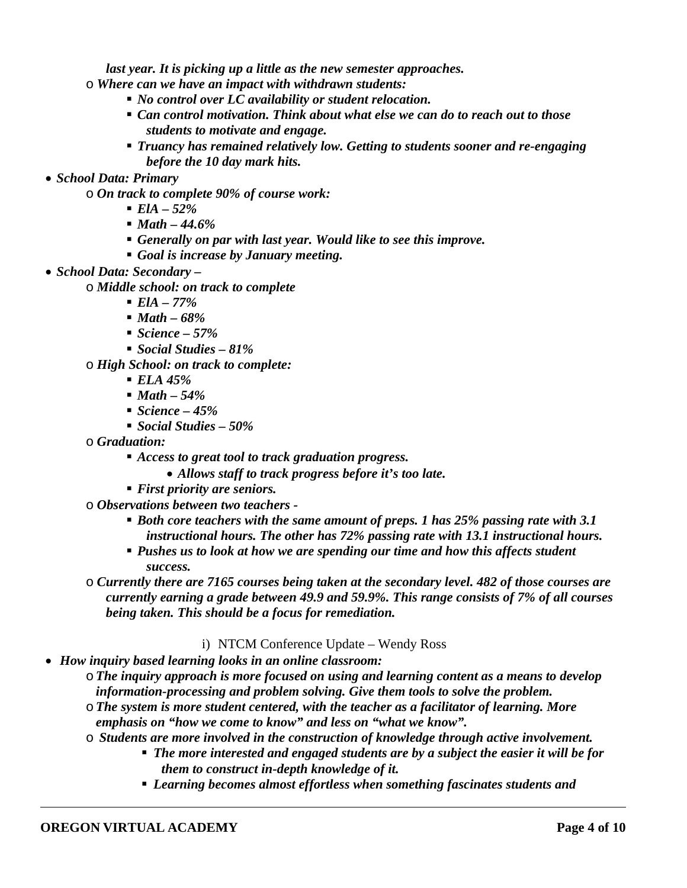*last year. It is picking up a little as the new semester approaches.* 

- o *Where can we have an impact with withdrawn students:* 
	- *No control over LC availability or student relocation.*
	- *Can control motivation. Think about what else we can do to reach out to those students to motivate and engage.*
	- *Truancy has remained relatively low. Getting to students sooner and re-engaging before the 10 day mark hits.*
- *School Data: Primary* 
	- o *On track to complete 90% of course work:* 
		- *ElA 52%*
		- *Math 44.6%*
		- *Generally on par with last year. Would like to see this improve.*
		- *Goal is increase by January meeting.*
- *School Data: Secondary* 
	- o *Middle school: on track to complete* 
		- *ElA 77%*
		- *Math 68%*
		- *Science 57%*
		- *Social Studies 81%*

#### o *High School: on track to complete:*

- *ELA 45%*
- *Math 54%*
- *Science 45%*
- *Social Studies 50%*
- o *Graduation:* 
	- *Access to great tool to track graduation progress.* 
		- *Allows staff to track progress before it's too late.*
	- *First priority are seniors.*
- o *Observations between two teachers* 
	- *Both core teachers with the same amount of preps. 1 has 25% passing rate with 3.1 instructional hours. The other has 72% passing rate with 13.1 instructional hours.*
	- *Pushes us to look at how we are spending our time and how this affects student success.*
- o *Currently there are 7165 courses being taken at the secondary level. 482 of those courses are currently earning a grade between 49.9 and 59.9%. This range consists of 7% of all courses being taken. This should be a focus for remediation.*

#### i) NTCM Conference Update – Wendy Ross

- *How inquiry based learning looks in an online classroom:*
	- o*The inquiry approach is more focused on using and learning content as a means to develop information-processing and problem solving. Give them tools to solve the problem.*
	- o*The system is more student centered, with the teacher as a facilitator of learning. More emphasis on "how we come to know" and less on "what we know".*
	- o *Students are more involved in the construction of knowledge through active involvement.* 
		- *The more interested and engaged students are by a subject the easier it will be for them to construct in-depth knowledge of it.* 
			- *Learning becomes almost effortless when something fascinates students and*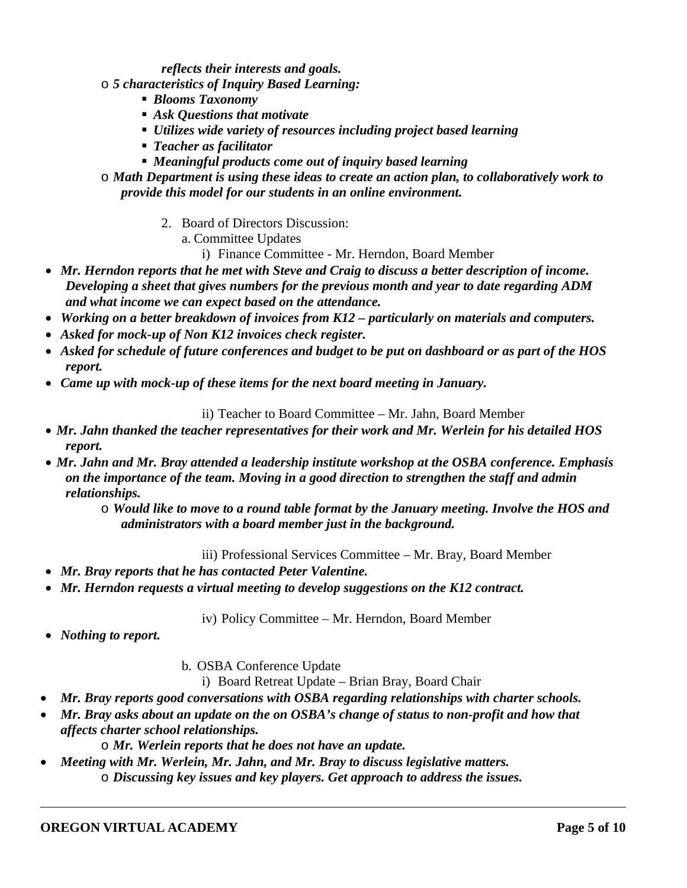*reflects their interests and goals.* 

- o *5 characteristics of Inquiry Based Learning:*
	- *Blooms Taxonomy*
	- *Ask Questions that motivate*
	- *Utilizes wide variety of resources including project based learning*
	- *Teacher as facilitator*
	- *Meaningful products come out of inquiry based learning*
- o *Math Department is using these ideas to create an action plan, to collaboratively work to provide this model for our students in an online environment.* 
	- 2. Board of Directors Discussion:
		- a. Committee Updates
			- i) Finance Committee Mr. Herndon, Board Member
- *Mr. Herndon reports that he met with Steve and Craig to discuss a better description of income. Developing a sheet that gives numbers for the previous month and year to date regarding ADM and what income we can expect based on the attendance.*
- *Working on a better breakdown of invoices from K12 particularly on materials and computers.*
- *Asked for mock-up of Non K12 invoices check register.*
- *Asked for schedule of future conferences and budget to be put on dashboard or as part of the HOS report.*
- *Came up with mock-up of these items for the next board meeting in January.*

### ii) Teacher to Board Committee – Mr. Jahn, Board Member

- *Mr. Jahn thanked the teacher representatives for their work and Mr. Werlein for his detailed HOS report.*
- *Mr. Jahn and Mr. Bray attended a leadership institute workshop at the OSBA conference. Emphasis on the importance of the team. Moving in a good direction to strengthen the staff and admin relationships.*
	- o *Would like to move to a round table format by the January meeting. Involve the HOS and administrators with a board member just in the background.*

iii) Professional Services Committee – Mr. Bray, Board Member

- *Mr. Bray reports that he has contacted Peter Valentine.*
- *Mr. Herndon requests a virtual meeting to develop suggestions on the K12 contract.*

iv) Policy Committee – Mr. Herndon, Board Member

- *Nothing to report.*
- b. OSBA Conference Update

i) Board Retreat Update – Brian Bray, Board Chair

- *Mr. Bray reports good conversations with OSBA regarding relationships with charter schools.*
- *Mr. Bray asks about an update on the on OSBA's change of status to non-profit and how that affects charter school relationships.* 
	- o *Mr. Werlein reports that he does not have an update.*
- *Meeting with Mr. Werlein, Mr. Jahn, and Mr. Bray to discuss legislative matters.*  o *Discussing key issues and key players. Get approach to address the issues.*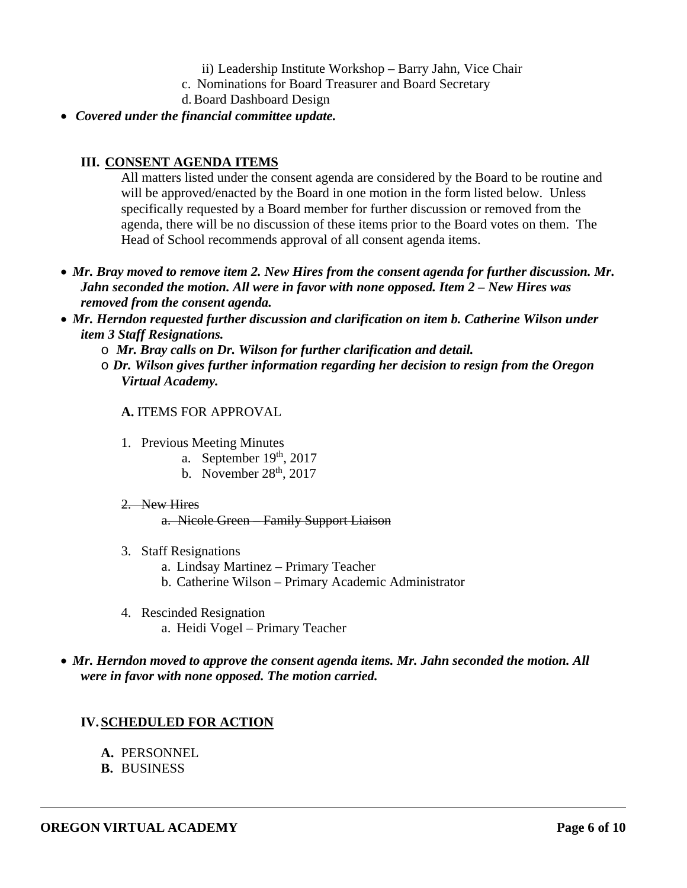- ii) Leadership Institute Workshop Barry Jahn, Vice Chair
- c. Nominations for Board Treasurer and Board Secretary
- d.Board Dashboard Design
- *Covered under the financial committee update.*

### **III. CONSENT AGENDA ITEMS**

All matters listed under the consent agenda are considered by the Board to be routine and will be approved/enacted by the Board in one motion in the form listed below. Unless specifically requested by a Board member for further discussion or removed from the agenda, there will be no discussion of these items prior to the Board votes on them. The Head of School recommends approval of all consent agenda items.

- *Mr. Bray moved to remove item 2. New Hires from the consent agenda for further discussion. Mr. Jahn seconded the motion. All were in favor with none opposed. Item 2 – New Hires was removed from the consent agenda.*
- *Mr. Herndon requested further discussion and clarification on item b. Catherine Wilson under item 3 Staff Resignations.* 
	- o *Mr. Bray calls on Dr. Wilson for further clarification and detail.*
	- o *Dr. Wilson gives further information regarding her decision to resign from the Oregon Virtual Academy.*

#### **A.** ITEMS FOR APPROVAL

- 1. Previous Meeting Minutes
	- a. September  $19<sup>th</sup>$ , 2017
	- b. November  $28<sup>th</sup>$ ,  $2017$

#### 2 New Hires

a. Nicole Green – Family Support Liaison

- 3. Staff Resignations
	- a. Lindsay Martinez Primary Teacher
	- b. Catherine Wilson Primary Academic Administrator
- 4. Rescinded Resignation a. Heidi Vogel – Primary Teacher

### *Mr. Herndon moved to approve the consent agenda items. Mr. Jahn seconded the motion. All were in favor with none opposed. The motion carried.*

## **IV. SCHEDULED FOR ACTION**

- **A.** PERSONNEL
- **B.** BUSINESS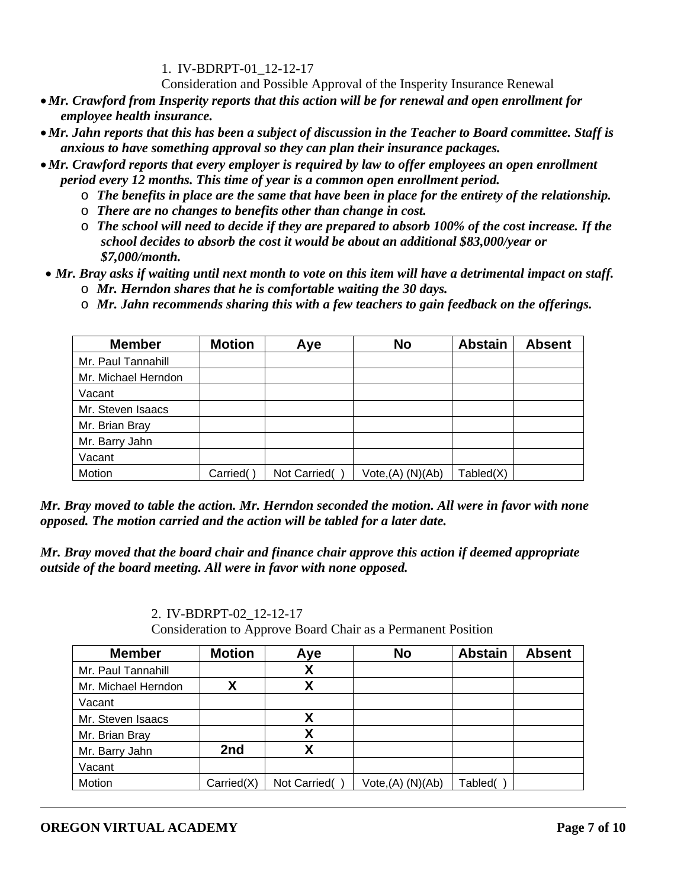1. IV-BDRPT-01\_12-12-17

Consideration and Possible Approval of the Insperity Insurance Renewal

- *Mr. Crawford from Insperity reports that this action will be for renewal and open enrollment for employee health insurance.*
- *Mr. Jahn reports that this has been a subject of discussion in the Teacher to Board committee. Staff is anxious to have something approval so they can plan their insurance packages.*
- *Mr. Crawford reports that every employer is required by law to offer employees an open enrollment period every 12 months. This time of year is a common open enrollment period.* 
	- o *The benefits in place are the same that have been in place for the entirety of the relationship.*
	- o *There are no changes to benefits other than change in cost.*
	- o *The school will need to decide if they are prepared to absorb 100% of the cost increase. If the school decides to absorb the cost it would be about an additional \$83,000/year or \$7,000/month.*
- *Mr. Bray asks if waiting until next month to vote on this item will have a detrimental impact on staff.*  o *Mr. Herndon shares that he is comfortable waiting the 30 days.*
	- o *Mr. Jahn recommends sharing this with a few teachers to gain feedback on the offerings.*

| <b>Member</b>       | <b>Motion</b> | Aye          | <b>No</b>            | <b>Abstain</b> | <b>Absent</b> |
|---------------------|---------------|--------------|----------------------|----------------|---------------|
| Mr. Paul Tannahill  |               |              |                      |                |               |
| Mr. Michael Herndon |               |              |                      |                |               |
| Vacant              |               |              |                      |                |               |
| Mr. Steven Isaacs   |               |              |                      |                |               |
| Mr. Brian Bray      |               |              |                      |                |               |
| Mr. Barry Jahn      |               |              |                      |                |               |
| Vacant              |               |              |                      |                |               |
| Motion              | Carried(      | Not Carried( | $Vote,(A)$ $(N)(Ab)$ | Tabled(X)      |               |

*Mr. Bray moved to table the action. Mr. Herndon seconded the motion. All were in favor with none opposed. The motion carried and the action will be tabled for a later date.* 

*Mr. Bray moved that the board chair and finance chair approve this action if deemed appropriate outside of the board meeting. All were in favor with none opposed.* 

2. IV-BDRPT-02\_12-12-17

Consideration to Approve Board Chair as a Permanent Position

| <b>Member</b>       | <b>Motion</b> | Aye          | <b>No</b>        | <b>Abstain</b> | <b>Absent</b> |
|---------------------|---------------|--------------|------------------|----------------|---------------|
| Mr. Paul Tannahill  |               | χ            |                  |                |               |
| Mr. Michael Herndon | v             | χ            |                  |                |               |
| Vacant              |               |              |                  |                |               |
| Mr. Steven Isaacs   |               | χ            |                  |                |               |
| Mr. Brian Bray      |               | χ            |                  |                |               |
| Mr. Barry Jahn      | 2nd           | χ            |                  |                |               |
| Vacant              |               |              |                  |                |               |
| Motion              | Carried(X)    | Not Carried( | Vote,(A) (N)(Ab) | Tabled(        |               |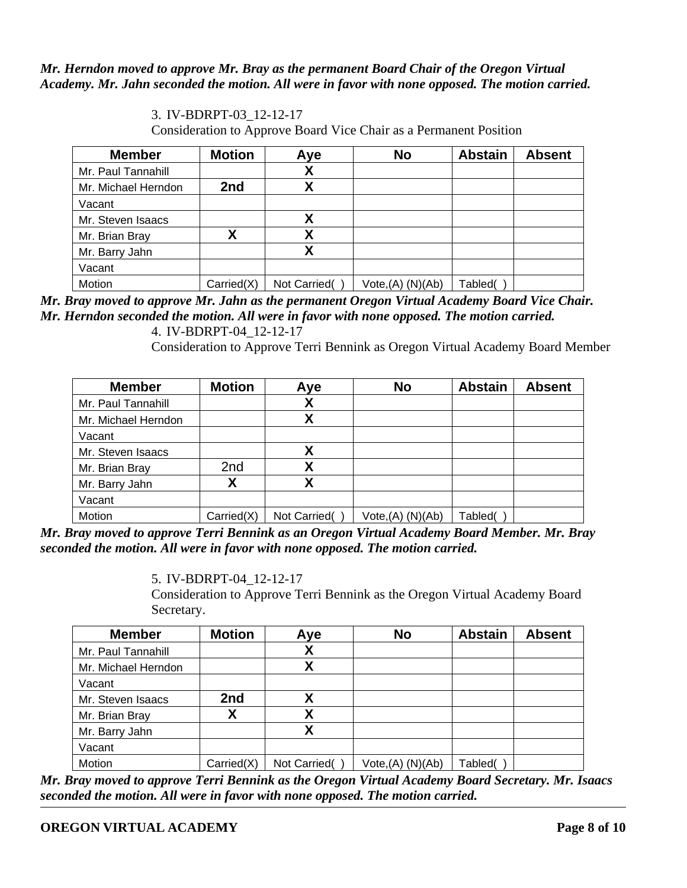### *Mr. Herndon moved to approve Mr. Bray as the permanent Board Chair of the Oregon Virtual Academy. Mr. Jahn seconded the motion. All were in favor with none opposed. The motion carried.*

| <b>Member</b>       | <b>Motion</b> | Aye          | <b>No</b>         | <b>Abstain</b> | <b>Absent</b> |
|---------------------|---------------|--------------|-------------------|----------------|---------------|
| Mr. Paul Tannahill  |               | χ            |                   |                |               |
| Mr. Michael Herndon | 2nd           |              |                   |                |               |
| Vacant              |               |              |                   |                |               |
| Mr. Steven Isaacs   |               | χ            |                   |                |               |
| Mr. Brian Bray      |               | Χ            |                   |                |               |
| Mr. Barry Jahn      |               | Χ            |                   |                |               |
| Vacant              |               |              |                   |                |               |
| Motion              | Carried(X)    | Not Carried( | Vote, (A) (N)(Ab) | Tabled(        |               |

3. IV-BDRPT-03\_12-12-17 Consideration to Approve Board Vice Chair as a Permanent Position

*Mr. Bray moved to approve Mr. Jahn as the permanent Oregon Virtual Academy Board Vice Chair. Mr. Herndon seconded the motion. All were in favor with none opposed. The motion carried.* 

4. IV-BDRPT-04\_12-12-17

Consideration to Approve Terri Bennink as Oregon Virtual Academy Board Member

| <b>Member</b>       | <b>Motion</b>   | Aye          | <b>No</b>            | <b>Abstain</b> | <b>Absent</b> |
|---------------------|-----------------|--------------|----------------------|----------------|---------------|
| Mr. Paul Tannahill  |                 | χ            |                      |                |               |
| Mr. Michael Herndon |                 | χ            |                      |                |               |
| Vacant              |                 |              |                      |                |               |
| Mr. Steven Isaacs   |                 | Χ            |                      |                |               |
| Mr. Brian Bray      | 2 <sub>nd</sub> | χ            |                      |                |               |
| Mr. Barry Jahn      |                 | χ            |                      |                |               |
| Vacant              |                 |              |                      |                |               |
| Motion              | Carried(X)      | Not Carried( | $Vote,(A)$ $(N)(Ab)$ | Tabled(        |               |

*Mr. Bray moved to approve Terri Bennink as an Oregon Virtual Academy Board Member. Mr. Bray seconded the motion. All were in favor with none opposed. The motion carried.* 

5. IV-BDRPT-04\_12-12-17

Consideration to Approve Terri Bennink as the Oregon Virtual Academy Board Secretary.

| <b>Member</b>       | <b>Motion</b> | Aye          | <b>No</b>            | <b>Abstain</b> | <b>Absent</b> |
|---------------------|---------------|--------------|----------------------|----------------|---------------|
| Mr. Paul Tannahill  |               | χ            |                      |                |               |
| Mr. Michael Herndon |               | χ            |                      |                |               |
| Vacant              |               |              |                      |                |               |
| Mr. Steven Isaacs   | 2nd           | Χ            |                      |                |               |
| Mr. Brian Bray      | Χ             | χ            |                      |                |               |
| Mr. Barry Jahn      |               | χ            |                      |                |               |
| Vacant              |               |              |                      |                |               |
| Motion              | Carried(X)    | Not Carried( | $Vote,(A)$ $(N)(Ab)$ | Tabled(        |               |

*Mr. Bray moved to approve Terri Bennink as the Oregon Virtual Academy Board Secretary. Mr. Isaacs seconded the motion. All were in favor with none opposed. The motion carried.*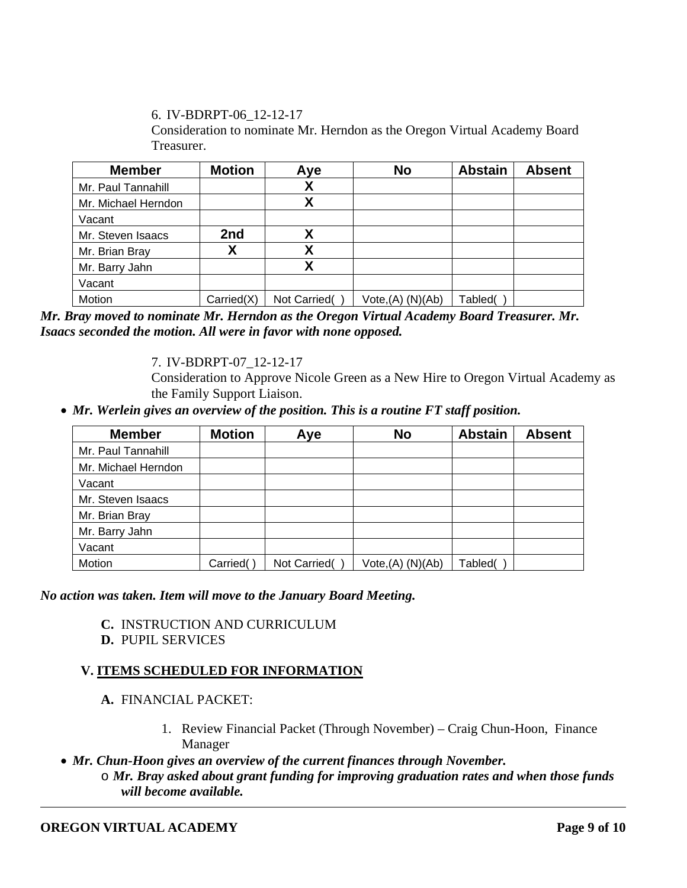6. IV-BDRPT-06\_12-12-17

Consideration to nominate Mr. Herndon as the Oregon Virtual Academy Board Treasurer.

| <b>Member</b>       | <b>Motion</b> | Aye          | <b>No</b>                     | <b>Abstain</b> | <b>Absent</b> |
|---------------------|---------------|--------------|-------------------------------|----------------|---------------|
| Mr. Paul Tannahill  |               | χ            |                               |                |               |
| Mr. Michael Herndon |               | χ            |                               |                |               |
| Vacant              |               |              |                               |                |               |
| Mr. Steven Isaacs   | 2nd           | Χ            |                               |                |               |
| Mr. Brian Bray      |               | χ            |                               |                |               |
| Mr. Barry Jahn      |               | χ            |                               |                |               |
| Vacant              |               |              |                               |                |               |
| Motion              | Carried(X)    | Not Carried( | Vote <sub>1</sub> (A) (N)(Ab) | Tabled(        |               |

*Mr. Bray moved to nominate Mr. Herndon as the Oregon Virtual Academy Board Treasurer. Mr. Isaacs seconded the motion. All were in favor with none opposed.* 

7. IV-BDRPT-07\_12-12-17

Consideration to Approve Nicole Green as a New Hire to Oregon Virtual Academy as the Family Support Liaison.

*Mr. Werlein gives an overview of the position. This is a routine FT staff position.* 

| <b>Member</b>       | <b>Motion</b> | Aye          | <b>No</b>            | <b>Abstain</b> | <b>Absent</b> |
|---------------------|---------------|--------------|----------------------|----------------|---------------|
| Mr. Paul Tannahill  |               |              |                      |                |               |
| Mr. Michael Herndon |               |              |                      |                |               |
| Vacant              |               |              |                      |                |               |
| Mr. Steven Isaacs   |               |              |                      |                |               |
| Mr. Brian Bray      |               |              |                      |                |               |
| Mr. Barry Jahn      |               |              |                      |                |               |
| Vacant              |               |              |                      |                |               |
| Motion              | Carried()     | Not Carried( | $Vote,(A)$ $(N)(Ab)$ | Tabled(        |               |

*No action was taken. Item will move to the January Board Meeting.* 

- **C.** INSTRUCTION AND CURRICULUM
- **D.** PUPIL SERVICES

# **V. ITEMS SCHEDULED FOR INFORMATION**

- **A.** FINANCIAL PACKET:
	- 1. Review Financial Packet (Through November) Craig Chun-Hoon, Finance Manager
- *Mr. Chun-Hoon gives an overview of the current finances through November.* 
	- o *Mr. Bray asked about grant funding for improving graduation rates and when those funds will become available.*